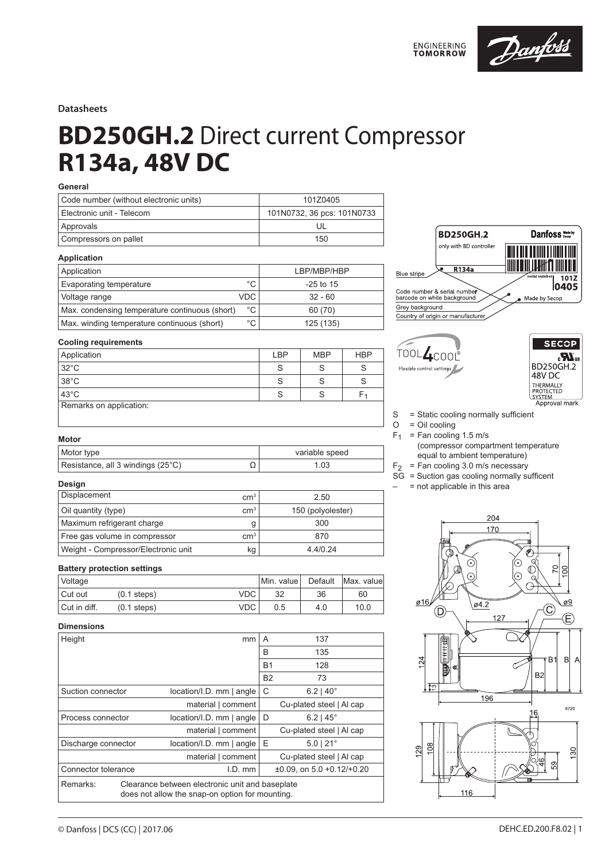

## **Datasheets**

# **BD250GH.2** Direct current Compressor **R134a, 48V DC**

## **General**

| Code number (without electronic units) | 101Z0405                   |
|----------------------------------------|----------------------------|
| Electronic unit - Telecom              | 101N0732, 36 pcs: 101N0733 |
| Approvals                              |                            |
| Compressors on pallet                  | 150                        |

#### **Application**

| Application                                    |             | LBP/MBP/HBP |
|------------------------------------------------|-------------|-------------|
| Evaporating temperature                        | $^{\circ}C$ | $-25$ to 15 |
| Voltage range                                  | <b>VDC</b>  | $32 - 60$   |
| Max. condensing temperature continuous (short) | °C          | 60 (70)     |
| Max. winding temperature continuous (short)    | °C          | 125 (135)   |

#### **BD250GH.2** Danfoss Made by only with BD controller R134a **Blue** stripe  $101Z$ 0405 Code number & serial number<br>barcode on white background Made by Secop Grey background Country of origin or manufacture

## **Cooling requirements**

| Application             | LBP | <b>MBP</b> | <b>HBP</b> |
|-------------------------|-----|------------|------------|
| $32^{\circ}$ C          |     |            |            |
| $38^{\circ}$ C          |     |            |            |
| $43^{\circ}$ C          |     |            |            |
| Remarks on application: |     |            |            |





- $S = State cooling normally sufficient  
\nO = Oil cooling$ 
	- $=$  Oil cooling
- $F_1$  = Fan cooling 1.5 m/s
	- (compressor compartment temperature equal to ambient temperature)
- $F_2$  = Fan cooling 3.0 m/s necessary
- $SG =$  Suction gas cooling normally sufficent
- $-$  = not applicable in this area

## **Design**

**Motor**

| Displacement                        | $\rm cm^{3}$ | 2.50              |
|-------------------------------------|--------------|-------------------|
| Oil quantity (type)                 | $\rm cm^3$   | 150 (polyolester) |
| Maximum refrigerant charge          |              | 300               |
| Free gas volume in compressor       | $\rm cm^3$   | 870               |
| Weight - Compressor/Electronic unit | kq           | 4.4/0.24          |

Motor type variable speed Resistance, all 3 windings (25°C)  $\Omega$  1.03

## **Battery protection settings**

| <i><b>Voltage</b></i> |               |      | Min. valuel | Default | Max. valuel |
|-----------------------|---------------|------|-------------|---------|-------------|
| Cut out               | $(0.1$ steps) | VDC. | 32          | 36      | 60          |
| Cut in diff.          | $(0.1$ steps) | VDC. | 0.5         | 4.0     | 10.0        |

## **Dimensions**

| Height                                                                                                         |  | mm                          | A         | 137                             |  |
|----------------------------------------------------------------------------------------------------------------|--|-----------------------------|-----------|---------------------------------|--|
|                                                                                                                |  |                             | B         | 135                             |  |
|                                                                                                                |  |                             | <b>B1</b> | 128                             |  |
|                                                                                                                |  |                             | <b>B2</b> | 73                              |  |
| Suction connector                                                                                              |  | location/I.D. mm   angle    | C         | $6.2$   40 $^{\circ}$           |  |
|                                                                                                                |  | material   comment          |           | Cu-plated steel   Al cap        |  |
| Process connector                                                                                              |  | $location/I.D.$ mm $ angle$ | D         | $6.2$   45 $^{\circ}$           |  |
|                                                                                                                |  | material   comment          |           | Cu-plated steel   Al cap        |  |
| Discharge connector                                                                                            |  | location/I.D. mm   angle    | Ε         | $5.0$   $21^{\circ}$            |  |
|                                                                                                                |  | material   comment          |           | Cu-plated steel   Al cap        |  |
| Connector tolerance                                                                                            |  | $I.D.$ mm                   |           | $\pm 0.09$ , on 5.0 +0.12/+0.20 |  |
| Remarks:<br>Clearance between electronic unit and baseplate<br>does not allow the snap-on option for mounting. |  |                             |           |                                 |  |